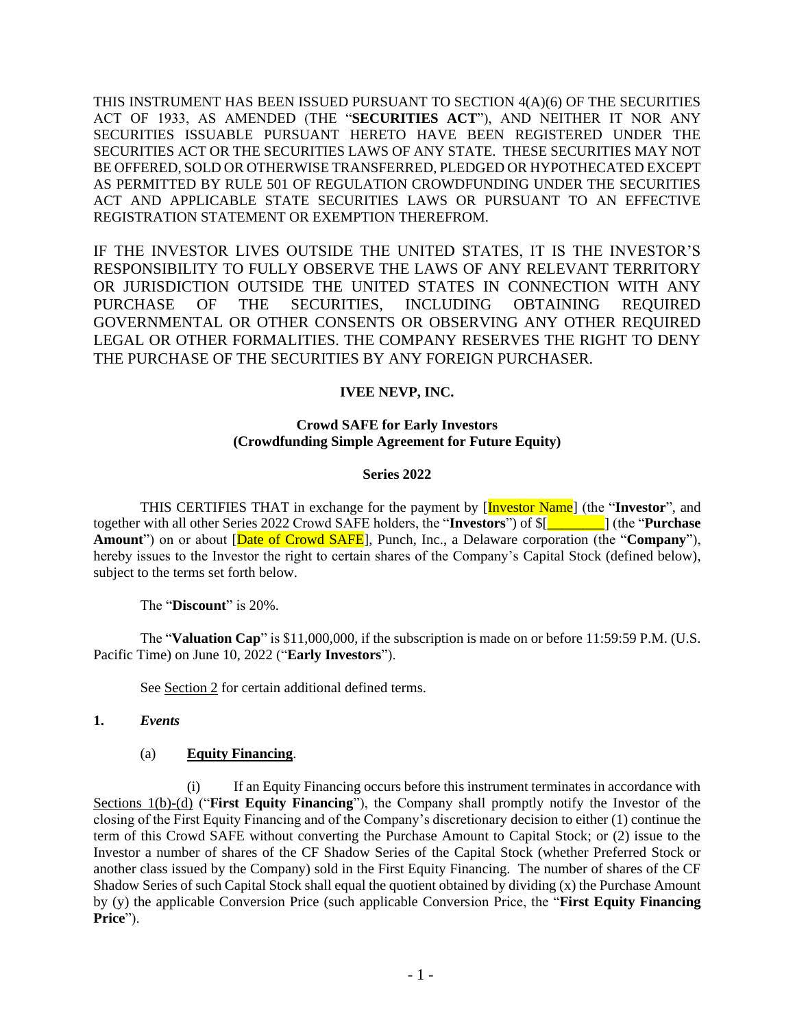THIS INSTRUMENT HAS BEEN ISSUED PURSUANT TO SECTION 4(A)(6) OF THE SECURITIES ACT OF 1933, AS AMENDED (THE "**SECURITIES ACT**"), AND NEITHER IT NOR ANY SECURITIES ISSUABLE PURSUANT HERETO HAVE BEEN REGISTERED UNDER THE SECURITIES ACT OR THE SECURITIES LAWS OF ANY STATE. THESE SECURITIES MAY NOT BE OFFERED, SOLD OR OTHERWISE TRANSFERRED, PLEDGED OR HYPOTHECATED EXCEPT AS PERMITTED BY RULE 501 OF REGULATION CROWDFUNDING UNDER THE SECURITIES ACT AND APPLICABLE STATE SECURITIES LAWS OR PURSUANT TO AN EFFECTIVE REGISTRATION STATEMENT OR EXEMPTION THEREFROM.

IF THE INVESTOR LIVES OUTSIDE THE UNITED STATES, IT IS THE INVESTOR'S RESPONSIBILITY TO FULLY OBSERVE THE LAWS OF ANY RELEVANT TERRITORY OR JURISDICTION OUTSIDE THE UNITED STATES IN CONNECTION WITH ANY PURCHASE OF THE SECURITIES, INCLUDING OBTAINING REQUIRED GOVERNMENTAL OR OTHER CONSENTS OR OBSERVING ANY OTHER REQUIRED LEGAL OR OTHER FORMALITIES. THE COMPANY RESERVES THE RIGHT TO DENY THE PURCHASE OF THE SECURITIES BY ANY FOREIGN PURCHASER.

### **IVEE NEVP, INC.**

#### **Crowd SAFE for Early Investors (Crowdfunding Simple Agreement for Future Equity)**

#### **Series 2022**

THIS CERTIFIES THAT in exchange for the payment by [Investor Name] (the "**Investor**", and together with all other Series 2022 Crowd SAFE holders, the "**Investors**") of \$[*\_\_\_\_\_\_\_\_*] (the "**Purchase Amount**") on or about [Date of Crowd SAFE], Punch, Inc., a Delaware corporation (the "**Company**"), hereby issues to the Investor the right to certain shares of the Company's Capital Stock (defined below), subject to the terms set forth below.

The "**Discount**" is 20%.

The "**Valuation Cap**" is \$11,000,000, if the subscription is made on or before 11:59:59 P.M. (U.S. Pacific Time) on June 10, 2022 ("**Early Investors**").

See Section 2 for certain additional defined terms.

#### **1.** *Events*

#### (a) **Equity Financing**.

(i) If an Equity Financing occurs before this instrument terminates in accordance with Sections 1(b)-(d) ("**First Equity Financing**"), the Company shall promptly notify the Investor of the closing of the First Equity Financing and of the Company's discretionary decision to either (1) continue the term of this Crowd SAFE without converting the Purchase Amount to Capital Stock; or (2) issue to the Investor a number of shares of the CF Shadow Series of the Capital Stock (whether Preferred Stock or another class issued by the Company) sold in the First Equity Financing. The number of shares of the CF Shadow Series of such Capital Stock shall equal the quotient obtained by dividing (x) the Purchase Amount by (y) the applicable Conversion Price (such applicable Conversion Price, the "**First Equity Financing Price**").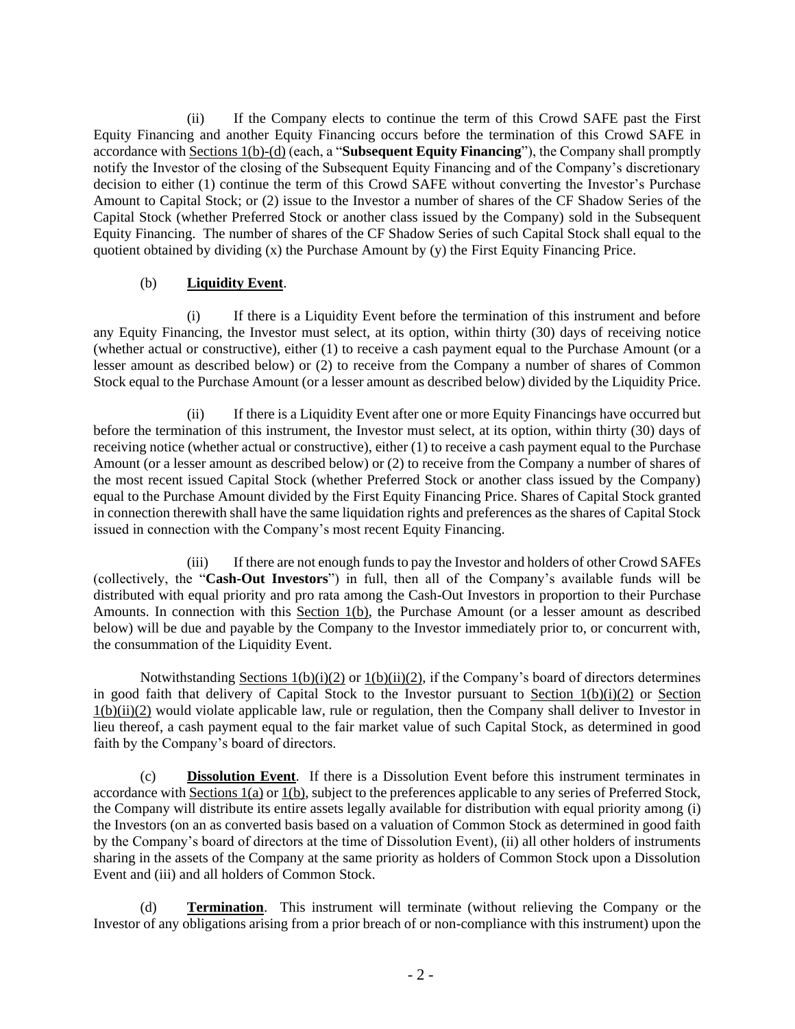(ii) If the Company elects to continue the term of this Crowd SAFE past the First Equity Financing and another Equity Financing occurs before the termination of this Crowd SAFE in accordance with Sections 1(b)-(d) (each, a "**Subsequent Equity Financing**"), the Company shall promptly notify the Investor of the closing of the Subsequent Equity Financing and of the Company's discretionary decision to either (1) continue the term of this Crowd SAFE without converting the Investor's Purchase Amount to Capital Stock; or (2) issue to the Investor a number of shares of the CF Shadow Series of the Capital Stock (whether Preferred Stock or another class issued by the Company) sold in the Subsequent Equity Financing. The number of shares of the CF Shadow Series of such Capital Stock shall equal to the quotient obtained by dividing (x) the Purchase Amount by (y) the First Equity Financing Price.

# (b) **Liquidity Event**.

(i) If there is a Liquidity Event before the termination of this instrument and before any Equity Financing, the Investor must select, at its option, within thirty (30) days of receiving notice (whether actual or constructive), either (1) to receive a cash payment equal to the Purchase Amount (or a lesser amount as described below) or (2) to receive from the Company a number of shares of Common Stock equal to the Purchase Amount (or a lesser amount as described below) divided by the Liquidity Price.

(ii) If there is a Liquidity Event after one or more Equity Financings have occurred but before the termination of this instrument, the Investor must select, at its option, within thirty (30) days of receiving notice (whether actual or constructive), either (1) to receive a cash payment equal to the Purchase Amount (or a lesser amount as described below) or (2) to receive from the Company a number of shares of the most recent issued Capital Stock (whether Preferred Stock or another class issued by the Company) equal to the Purchase Amount divided by the First Equity Financing Price. Shares of Capital Stock granted in connection therewith shall have the same liquidation rights and preferences as the shares of Capital Stock issued in connection with the Company's most recent Equity Financing.

(iii) If there are not enough funds to pay the Investor and holders of other Crowd SAFEs (collectively, the "**Cash-Out Investors**") in full, then all of the Company's available funds will be distributed with equal priority and pro rata among the Cash-Out Investors in proportion to their Purchase Amounts. In connection with this Section 1(b), the Purchase Amount (or a lesser amount as described below) will be due and payable by the Company to the Investor immediately prior to, or concurrent with, the consummation of the Liquidity Event.

Notwithstanding Sections  $1(b)(i)(2)$  or  $1(b)(ii)(2)$ , if the Company's board of directors determines in good faith that delivery of Capital Stock to the Investor pursuant to Section  $1(b)(i)(2)$  or Section 1(b)(ii)(2) would violate applicable law, rule or regulation, then the Company shall deliver to Investor in lieu thereof, a cash payment equal to the fair market value of such Capital Stock, as determined in good faith by the Company's board of directors.

(c) **Dissolution Event**. If there is a Dissolution Event before this instrument terminates in accordance with Sections 1(a) or 1(b), subject to the preferences applicable to any series of Preferred Stock, the Company will distribute its entire assets legally available for distribution with equal priority among (i) the Investors (on an as converted basis based on a valuation of Common Stock as determined in good faith by the Company's board of directors at the time of Dissolution Event), (ii) all other holders of instruments sharing in the assets of the Company at the same priority as holders of Common Stock upon a Dissolution Event and (iii) and all holders of Common Stock.

(d) **Termination**. This instrument will terminate (without relieving the Company or the Investor of any obligations arising from a prior breach of or non-compliance with this instrument) upon the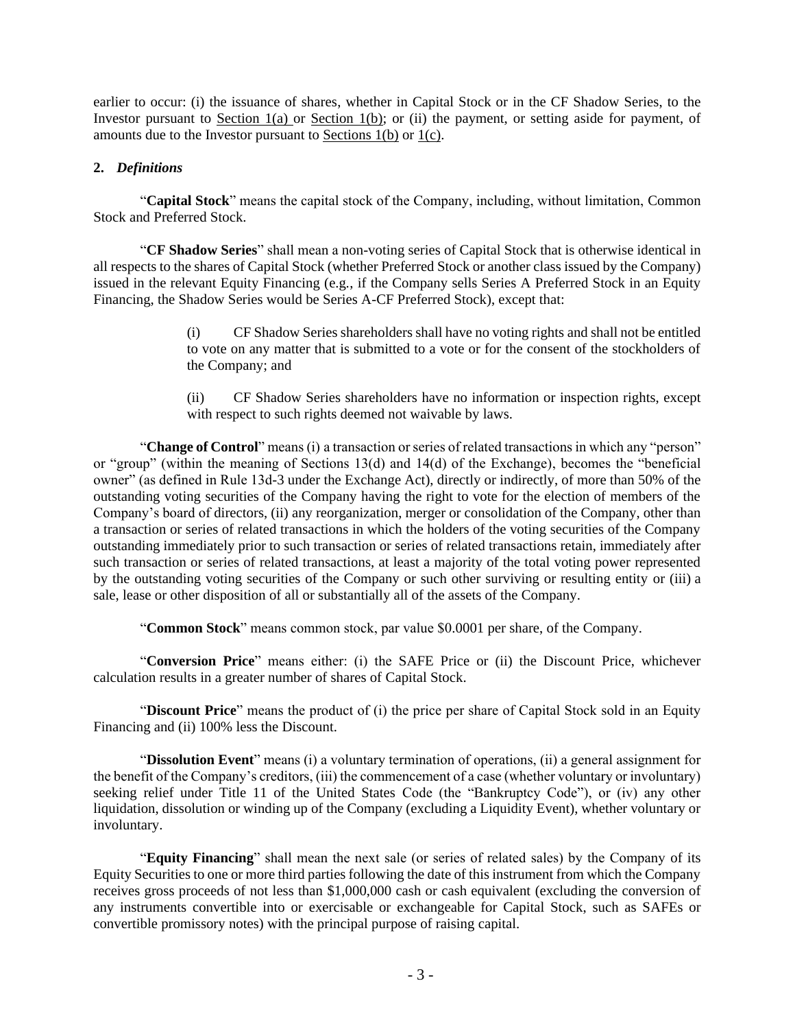earlier to occur: (i) the issuance of shares, whether in Capital Stock or in the CF Shadow Series, to the Investor pursuant to Section 1(a) or Section 1(b); or (ii) the payment, or setting aside for payment, of amounts due to the Investor pursuant to Sections 1(b) or 1(c).

### **2.** *Definitions*

"**Capital Stock**" means the capital stock of the Company, including, without limitation, Common Stock and Preferred Stock.

"**CF Shadow Series**" shall mean a non-voting series of Capital Stock that is otherwise identical in all respects to the shares of Capital Stock (whether Preferred Stock or another class issued by the Company) issued in the relevant Equity Financing (e.g*.*, if the Company sells Series A Preferred Stock in an Equity Financing, the Shadow Series would be Series A-CF Preferred Stock), except that:

> (i) CF Shadow Series shareholders shall have no voting rights and shall not be entitled to vote on any matter that is submitted to a vote or for the consent of the stockholders of the Company; and

> (ii) CF Shadow Series shareholders have no information or inspection rights, except with respect to such rights deemed not waivable by laws.

"**Change of Control**" means (i) a transaction or series of related transactions in which any "person" or "group" (within the meaning of Sections 13(d) and 14(d) of the Exchange), becomes the "beneficial owner" (as defined in Rule 13d-3 under the Exchange Act), directly or indirectly, of more than 50% of the outstanding voting securities of the Company having the right to vote for the election of members of the Company's board of directors, (ii) any reorganization, merger or consolidation of the Company, other than a transaction or series of related transactions in which the holders of the voting securities of the Company outstanding immediately prior to such transaction or series of related transactions retain, immediately after such transaction or series of related transactions, at least a majority of the total voting power represented by the outstanding voting securities of the Company or such other surviving or resulting entity or (iii) a sale, lease or other disposition of all or substantially all of the assets of the Company.

"**Common Stock**" means common stock, par value \$0.0001 per share, of the Company.

"**Conversion Price**" means either: (i) the SAFE Price or (ii) the Discount Price, whichever calculation results in a greater number of shares of Capital Stock.

"**Discount Price**" means the product of (i) the price per share of Capital Stock sold in an Equity Financing and (ii) 100% less the Discount.

"**Dissolution Event**" means (i) a voluntary termination of operations, (ii) a general assignment for the benefit of the Company's creditors, (iii) the commencement of a case (whether voluntary or involuntary) seeking relief under Title 11 of the United States Code (the "Bankruptcy Code"), or (iv) any other liquidation, dissolution or winding up of the Company (excluding a Liquidity Event), whether voluntary or involuntary.

"**Equity Financing**" shall mean the next sale (or series of related sales) by the Company of its Equity Securities to one or more third parties following the date of this instrument from which the Company receives gross proceeds of not less than \$1,000,000 cash or cash equivalent (excluding the conversion of any instruments convertible into or exercisable or exchangeable for Capital Stock, such as SAFEs or convertible promissory notes) with the principal purpose of raising capital.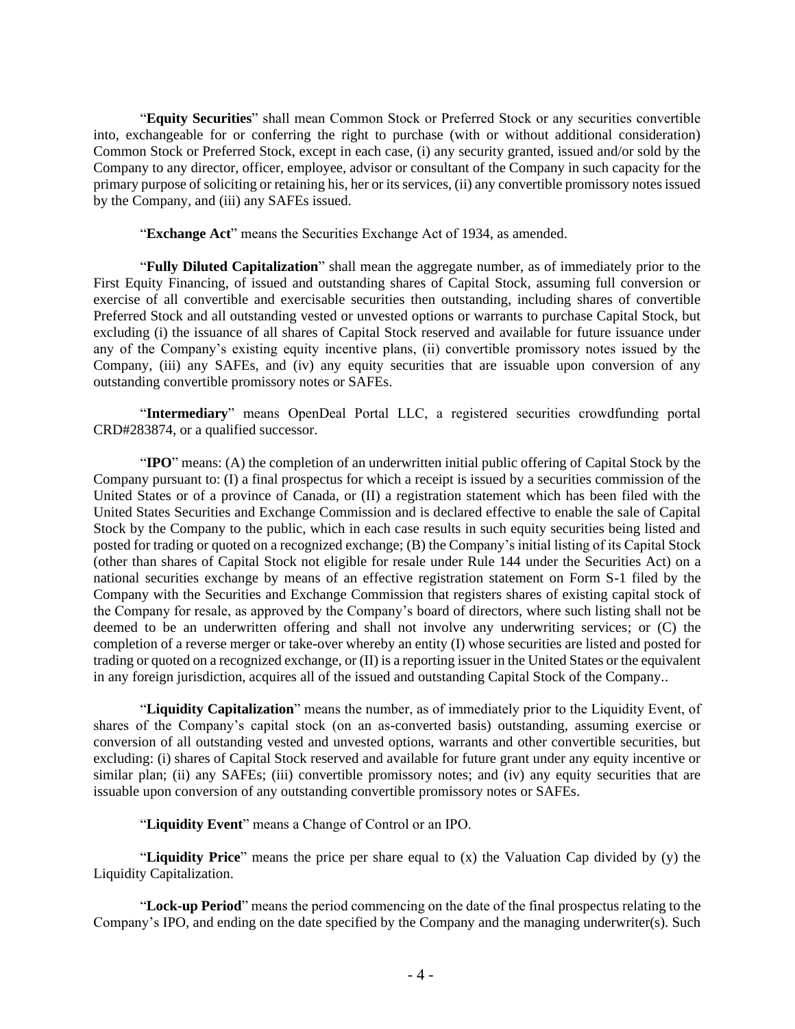"**Equity Securities**" shall mean Common Stock or Preferred Stock or any securities convertible into, exchangeable for or conferring the right to purchase (with or without additional consideration) Common Stock or Preferred Stock, except in each case, (i) any security granted, issued and/or sold by the Company to any director, officer, employee, advisor or consultant of the Company in such capacity for the primary purpose of soliciting or retaining his, her or its services, (ii) any convertible promissory notes issued by the Company, and (iii) any SAFEs issued.

"**Exchange Act**" means the Securities Exchange Act of 1934, as amended.

"**Fully Diluted Capitalization**" shall mean the aggregate number, as of immediately prior to the First Equity Financing, of issued and outstanding shares of Capital Stock, assuming full conversion or exercise of all convertible and exercisable securities then outstanding, including shares of convertible Preferred Stock and all outstanding vested or unvested options or warrants to purchase Capital Stock, but excluding (i) the issuance of all shares of Capital Stock reserved and available for future issuance under any of the Company's existing equity incentive plans, (ii) convertible promissory notes issued by the Company, (iii) any SAFEs, and (iv) any equity securities that are issuable upon conversion of any outstanding convertible promissory notes or SAFEs.

"**Intermediary**" means OpenDeal Portal LLC, a registered securities crowdfunding portal CRD#283874, or a qualified successor.

"**IPO**" means: (A) the completion of an underwritten initial public offering of Capital Stock by the Company pursuant to: (I) a final prospectus for which a receipt is issued by a securities commission of the United States or of a province of Canada, or (II) a registration statement which has been filed with the United States Securities and Exchange Commission and is declared effective to enable the sale of Capital Stock by the Company to the public, which in each case results in such equity securities being listed and posted for trading or quoted on a recognized exchange; (B) the Company's initial listing of its Capital Stock (other than shares of Capital Stock not eligible for resale under Rule 144 under the Securities Act) on a national securities exchange by means of an effective registration statement on Form S-1 filed by the Company with the Securities and Exchange Commission that registers shares of existing capital stock of the Company for resale, as approved by the Company's board of directors, where such listing shall not be deemed to be an underwritten offering and shall not involve any underwriting services; or (C) the completion of a reverse merger or take-over whereby an entity (I) whose securities are listed and posted for trading or quoted on a recognized exchange, or (II) is a reporting issuer in the United States or the equivalent in any foreign jurisdiction, acquires all of the issued and outstanding Capital Stock of the Company..

"**Liquidity Capitalization**" means the number, as of immediately prior to the Liquidity Event, of shares of the Company's capital stock (on an as-converted basis) outstanding, assuming exercise or conversion of all outstanding vested and unvested options, warrants and other convertible securities, but excluding: (i) shares of Capital Stock reserved and available for future grant under any equity incentive or similar plan; (ii) any SAFEs; (iii) convertible promissory notes; and (iv) any equity securities that are issuable upon conversion of any outstanding convertible promissory notes or SAFEs.

"**Liquidity Event**" means a Change of Control or an IPO.

"**Liquidity Price**" means the price per share equal to (x) the Valuation Cap divided by (y) the Liquidity Capitalization.

"**Lock-up Period**" means the period commencing on the date of the final prospectus relating to the Company's IPO, and ending on the date specified by the Company and the managing underwriter(s). Such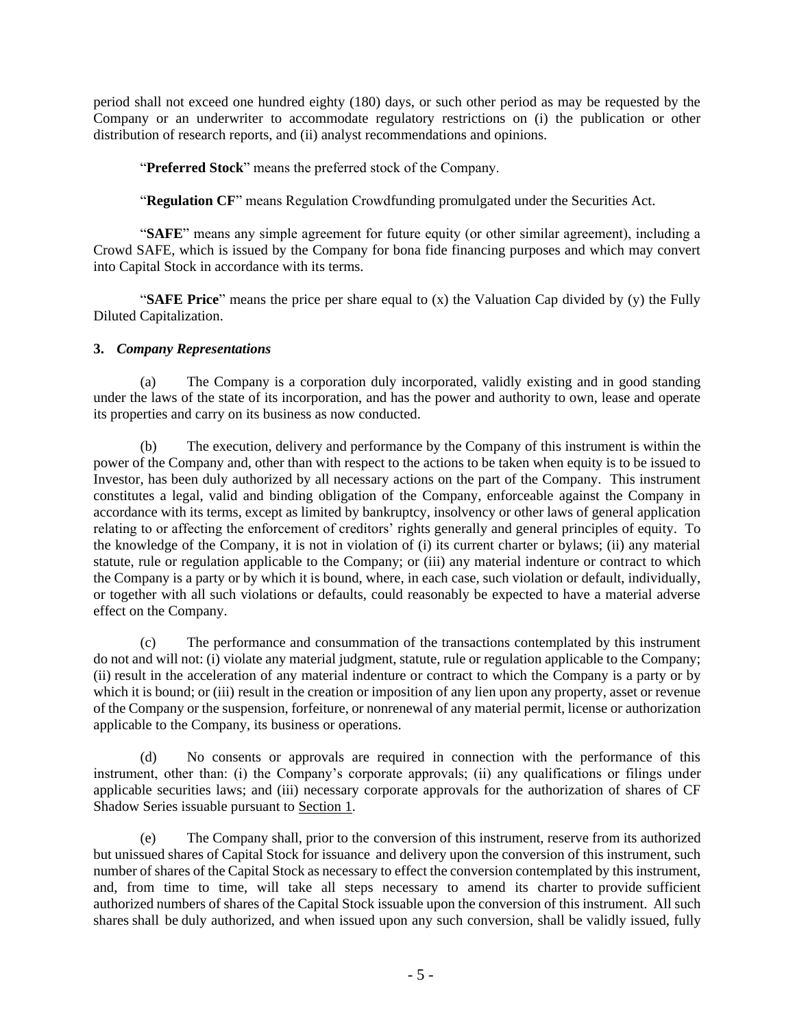period shall not exceed one hundred eighty (180) days, or such other period as may be requested by the Company or an underwriter to accommodate regulatory restrictions on (i) the publication or other distribution of research reports, and (ii) analyst recommendations and opinions.

"**Preferred Stock**" means the preferred stock of the Company.

"**Regulation CF**" means Regulation Crowdfunding promulgated under the Securities Act.

"**SAFE**" means any simple agreement for future equity (or other similar agreement), including a Crowd SAFE, which is issued by the Company for bona fide financing purposes and which may convert into Capital Stock in accordance with its terms.

"**SAFE Price**" means the price per share equal to (x) the Valuation Cap divided by (y) the Fully Diluted Capitalization.

#### **3.** *Company Representations*

(a) The Company is a corporation duly incorporated, validly existing and in good standing under the laws of the state of its incorporation, and has the power and authority to own, lease and operate its properties and carry on its business as now conducted.

(b) The execution, delivery and performance by the Company of this instrument is within the power of the Company and, other than with respect to the actions to be taken when equity is to be issued to Investor, has been duly authorized by all necessary actions on the part of the Company. This instrument constitutes a legal, valid and binding obligation of the Company, enforceable against the Company in accordance with its terms, except as limited by bankruptcy, insolvency or other laws of general application relating to or affecting the enforcement of creditors' rights generally and general principles of equity. To the knowledge of the Company, it is not in violation of (i) its current charter or bylaws; (ii) any material statute, rule or regulation applicable to the Company; or (iii) any material indenture or contract to which the Company is a party or by which it is bound, where, in each case, such violation or default, individually, or together with all such violations or defaults, could reasonably be expected to have a material adverse effect on the Company.

(c) The performance and consummation of the transactions contemplated by this instrument do not and will not: (i) violate any material judgment, statute, rule or regulation applicable to the Company; (ii) result in the acceleration of any material indenture or contract to which the Company is a party or by which it is bound; or (iii) result in the creation or imposition of any lien upon any property, asset or revenue of the Company or the suspension, forfeiture, or nonrenewal of any material permit, license or authorization applicable to the Company, its business or operations.

(d) No consents or approvals are required in connection with the performance of this instrument, other than: (i) the Company's corporate approvals; (ii) any qualifications or filings under applicable securities laws; and (iii) necessary corporate approvals for the authorization of shares of CF Shadow Series issuable pursuant to Section 1.

(e) The Company shall, prior to the conversion of this instrument, reserve from its authorized but unissued shares of Capital Stock for issuance and delivery upon the conversion of this instrument, such number of shares of the Capital Stock as necessary to effect the conversion contemplated by this instrument, and, from time to time, will take all steps necessary to amend its charter to provide sufficient authorized numbers of shares of the Capital Stock issuable upon the conversion of this instrument. All such shares shall be duly authorized, and when issued upon any such conversion, shall be validly issued, fully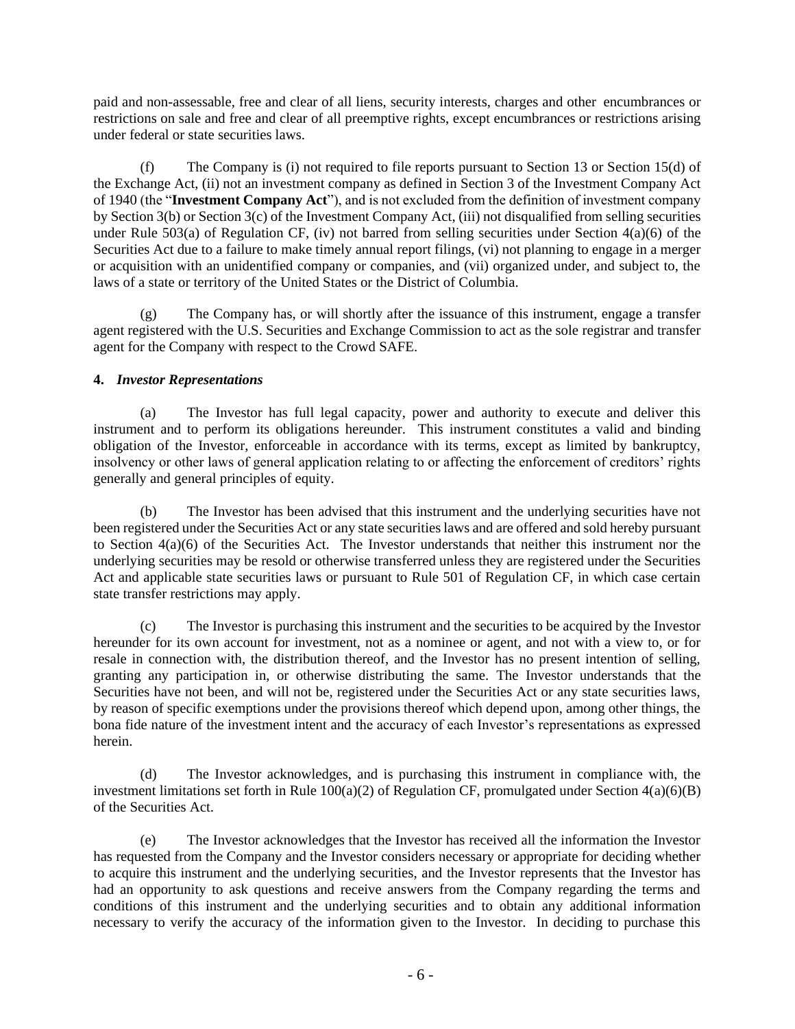paid and non-assessable, free and clear of all liens, security interests, charges and other encumbrances or restrictions on sale and free and clear of all preemptive rights, except encumbrances or restrictions arising under federal or state securities laws.

(f) The Company is (i) not required to file reports pursuant to Section 13 or Section 15(d) of the Exchange Act, (ii) not an investment company as defined in Section 3 of the Investment Company Act of 1940 (the "**Investment Company Act**"), and is not excluded from the definition of investment company by Section 3(b) or Section 3(c) of the Investment Company Act, (iii) not disqualified from selling securities under Rule 503(a) of Regulation CF, (iv) not barred from selling securities under Section  $4(a)(6)$  of the Securities Act due to a failure to make timely annual report filings, (vi) not planning to engage in a merger or acquisition with an unidentified company or companies, and (vii) organized under, and subject to, the laws of a state or territory of the United States or the District of Columbia.

(g) The Company has, or will shortly after the issuance of this instrument, engage a transfer agent registered with the U.S. Securities and Exchange Commission to act as the sole registrar and transfer agent for the Company with respect to the Crowd SAFE.

## **4.** *Investor Representations*

(a) The Investor has full legal capacity, power and authority to execute and deliver this instrument and to perform its obligations hereunder. This instrument constitutes a valid and binding obligation of the Investor, enforceable in accordance with its terms, except as limited by bankruptcy, insolvency or other laws of general application relating to or affecting the enforcement of creditors' rights generally and general principles of equity.

(b) The Investor has been advised that this instrument and the underlying securities have not been registered under the Securities Act or any state securities laws and are offered and sold hereby pursuant to Section 4(a)(6) of the Securities Act. The Investor understands that neither this instrument nor the underlying securities may be resold or otherwise transferred unless they are registered under the Securities Act and applicable state securities laws or pursuant to Rule 501 of Regulation CF, in which case certain state transfer restrictions may apply.

(c) The Investor is purchasing this instrument and the securities to be acquired by the Investor hereunder for its own account for investment, not as a nominee or agent, and not with a view to, or for resale in connection with, the distribution thereof, and the Investor has no present intention of selling, granting any participation in, or otherwise distributing the same. The Investor understands that the Securities have not been, and will not be, registered under the Securities Act or any state securities laws, by reason of specific exemptions under the provisions thereof which depend upon, among other things, the bona fide nature of the investment intent and the accuracy of each Investor's representations as expressed herein.

(d) The Investor acknowledges, and is purchasing this instrument in compliance with, the investment limitations set forth in Rule  $100(a)(2)$  of Regulation CF, promulgated under Section  $4(a)(6)(B)$ of the Securities Act.

(e) The Investor acknowledges that the Investor has received all the information the Investor has requested from the Company and the Investor considers necessary or appropriate for deciding whether to acquire this instrument and the underlying securities, and the Investor represents that the Investor has had an opportunity to ask questions and receive answers from the Company regarding the terms and conditions of this instrument and the underlying securities and to obtain any additional information necessary to verify the accuracy of the information given to the Investor. In deciding to purchase this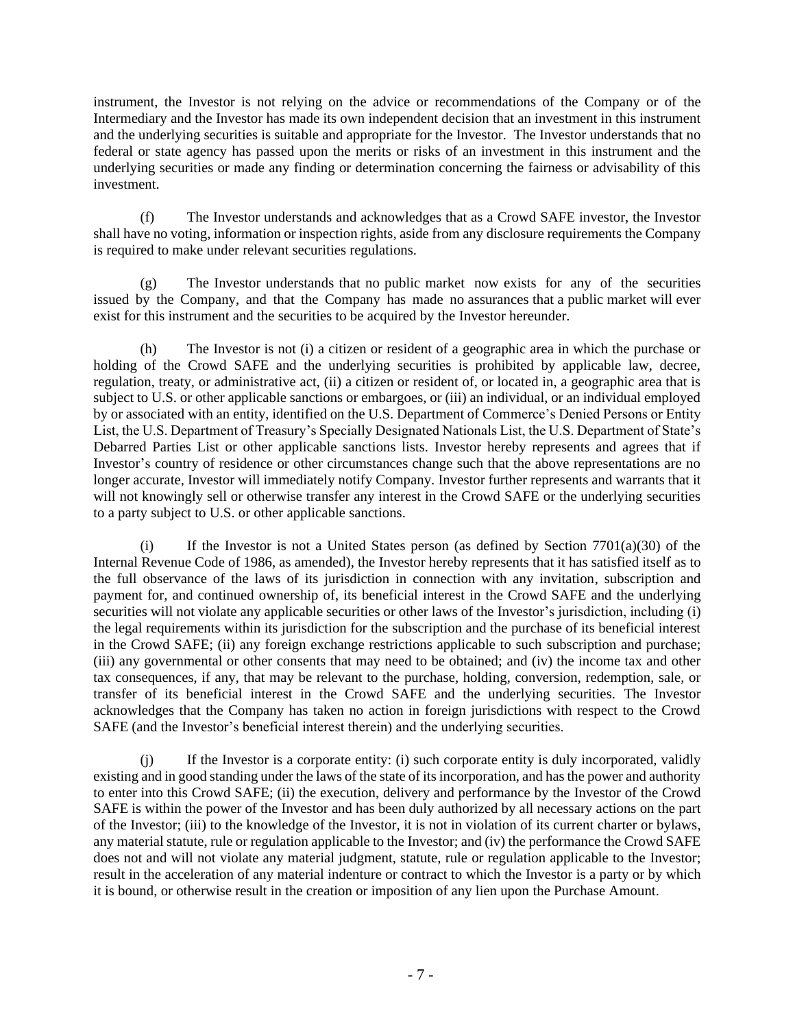instrument, the Investor is not relying on the advice or recommendations of the Company or of the Intermediary and the Investor has made its own independent decision that an investment in this instrument and the underlying securities is suitable and appropriate for the Investor. The Investor understands that no federal or state agency has passed upon the merits or risks of an investment in this instrument and the underlying securities or made any finding or determination concerning the fairness or advisability of this investment.

(f) The Investor understands and acknowledges that as a Crowd SAFE investor, the Investor shall have no voting, information or inspection rights, aside from any disclosure requirements the Company is required to make under relevant securities regulations.

(g) The Investor understands that no public market now exists for any of the securities issued by the Company, and that the Company has made no assurances that a public market will ever exist for this instrument and the securities to be acquired by the Investor hereunder.

(h) The Investor is not (i) a citizen or resident of a geographic area in which the purchase or holding of the Crowd SAFE and the underlying securities is prohibited by applicable law, decree, regulation, treaty, or administrative act, (ii) a citizen or resident of, or located in, a geographic area that is subject to U.S. or other applicable sanctions or embargoes, or (iii) an individual, or an individual employed by or associated with an entity, identified on the U.S. Department of Commerce's Denied Persons or Entity List, the U.S. Department of Treasury's Specially Designated Nationals List, the U.S. Department of State's Debarred Parties List or other applicable sanctions lists. Investor hereby represents and agrees that if Investor's country of residence or other circumstances change such that the above representations are no longer accurate, Investor will immediately notify Company. Investor further represents and warrants that it will not knowingly sell or otherwise transfer any interest in the Crowd SAFE or the underlying securities to a party subject to U.S. or other applicable sanctions.

(i) If the Investor is not a United States person (as defined by Section  $7701(a)(30)$  of the Internal Revenue Code of 1986, as amended), the Investor hereby represents that it has satisfied itself as to the full observance of the laws of its jurisdiction in connection with any invitation, subscription and payment for, and continued ownership of, its beneficial interest in the Crowd SAFE and the underlying securities will not violate any applicable securities or other laws of the Investor's jurisdiction, including (i) the legal requirements within its jurisdiction for the subscription and the purchase of its beneficial interest in the Crowd SAFE; (ii) any foreign exchange restrictions applicable to such subscription and purchase; (iii) any governmental or other consents that may need to be obtained; and (iv) the income tax and other tax consequences, if any, that may be relevant to the purchase, holding, conversion, redemption, sale, or transfer of its beneficial interest in the Crowd SAFE and the underlying securities. The Investor acknowledges that the Company has taken no action in foreign jurisdictions with respect to the Crowd SAFE (and the Investor's beneficial interest therein) and the underlying securities.

(j) If the Investor is a corporate entity: (i) such corporate entity is duly incorporated, validly existing and in good standing under the laws of the state of its incorporation, and has the power and authority to enter into this Crowd SAFE; (ii) the execution, delivery and performance by the Investor of the Crowd SAFE is within the power of the Investor and has been duly authorized by all necessary actions on the part of the Investor; (iii) to the knowledge of the Investor, it is not in violation of its current charter or bylaws, any material statute, rule or regulation applicable to the Investor; and (iv) the performance the Crowd SAFE does not and will not violate any material judgment, statute, rule or regulation applicable to the Investor; result in the acceleration of any material indenture or contract to which the Investor is a party or by which it is bound, or otherwise result in the creation or imposition of any lien upon the Purchase Amount.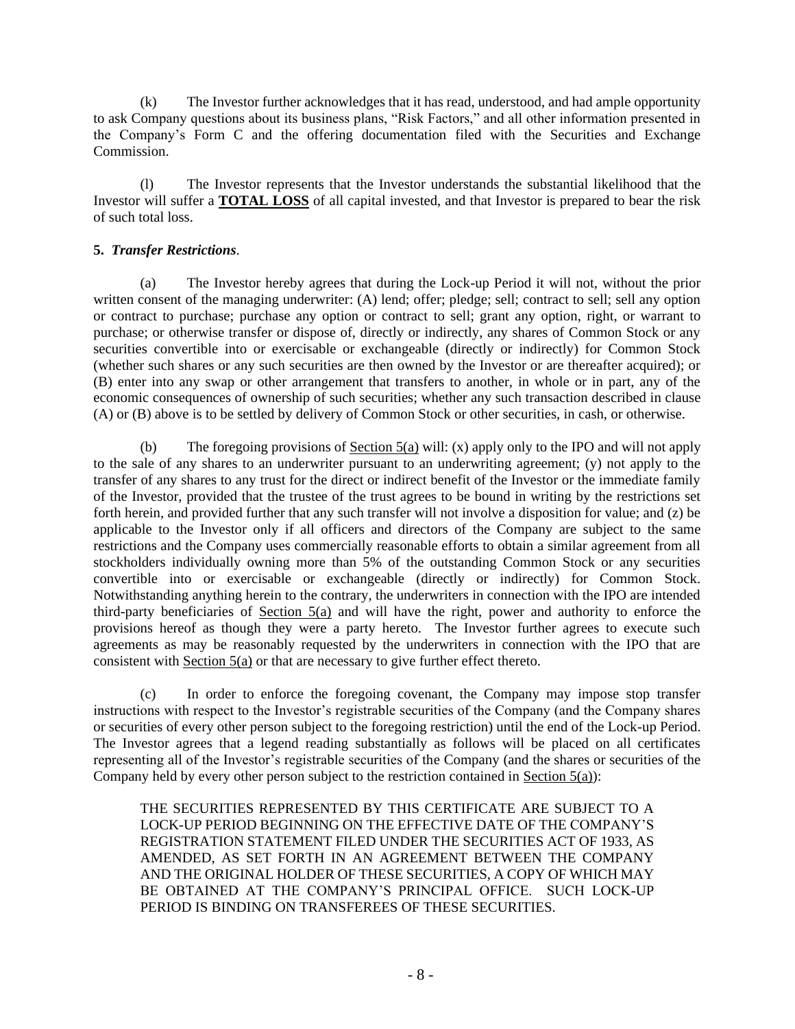(k) The Investor further acknowledges that it has read, understood, and had ample opportunity to ask Company questions about its business plans, "Risk Factors," and all other information presented in the Company's Form C and the offering documentation filed with the Securities and Exchange Commission.

(l) The Investor represents that the Investor understands the substantial likelihood that the Investor will suffer a **TOTAL LOSS** of all capital invested, and that Investor is prepared to bear the risk of such total loss.

### **5.** *Transfer Restrictions*.

(a) The Investor hereby agrees that during the Lock-up Period it will not, without the prior written consent of the managing underwriter: (A) lend; offer; pledge; sell; contract to sell; sell any option or contract to purchase; purchase any option or contract to sell; grant any option, right, or warrant to purchase; or otherwise transfer or dispose of, directly or indirectly, any shares of Common Stock or any securities convertible into or exercisable or exchangeable (directly or indirectly) for Common Stock (whether such shares or any such securities are then owned by the Investor or are thereafter acquired); or (B) enter into any swap or other arrangement that transfers to another, in whole or in part, any of the economic consequences of ownership of such securities; whether any such transaction described in clause (A) or (B) above is to be settled by delivery of Common Stock or other securities, in cash, or otherwise.

(b) The foregoing provisions of <u>Section 5(a)</u> will: (x) apply only to the IPO and will not apply to the sale of any shares to an underwriter pursuant to an underwriting agreement; (y) not apply to the transfer of any shares to any trust for the direct or indirect benefit of the Investor or the immediate family of the Investor, provided that the trustee of the trust agrees to be bound in writing by the restrictions set forth herein, and provided further that any such transfer will not involve a disposition for value; and (z) be applicable to the Investor only if all officers and directors of the Company are subject to the same restrictions and the Company uses commercially reasonable efforts to obtain a similar agreement from all stockholders individually owning more than 5% of the outstanding Common Stock or any securities convertible into or exercisable or exchangeable (directly or indirectly) for Common Stock. Notwithstanding anything herein to the contrary, the underwriters in connection with the IPO are intended third-party beneficiaries of Section 5(a) and will have the right, power and authority to enforce the provisions hereof as though they were a party hereto. The Investor further agrees to execute such agreements as may be reasonably requested by the underwriters in connection with the IPO that are consistent with Section 5(a) or that are necessary to give further effect thereto.

(c) In order to enforce the foregoing covenant, the Company may impose stop transfer instructions with respect to the Investor's registrable securities of the Company (and the Company shares or securities of every other person subject to the foregoing restriction) until the end of the Lock-up Period. The Investor agrees that a legend reading substantially as follows will be placed on all certificates representing all of the Investor's registrable securities of the Company (and the shares or securities of the Company held by every other person subject to the restriction contained in Section 5(a)):

THE SECURITIES REPRESENTED BY THIS CERTIFICATE ARE SUBJECT TO A LOCK-UP PERIOD BEGINNING ON THE EFFECTIVE DATE OF THE COMPANY'S REGISTRATION STATEMENT FILED UNDER THE SECURITIES ACT OF 1933, AS AMENDED, AS SET FORTH IN AN AGREEMENT BETWEEN THE COMPANY AND THE ORIGINAL HOLDER OF THESE SECURITIES, A COPY OF WHICH MAY BE OBTAINED AT THE COMPANY'S PRINCIPAL OFFICE. SUCH LOCK-UP PERIOD IS BINDING ON TRANSFEREES OF THESE SECURITIES.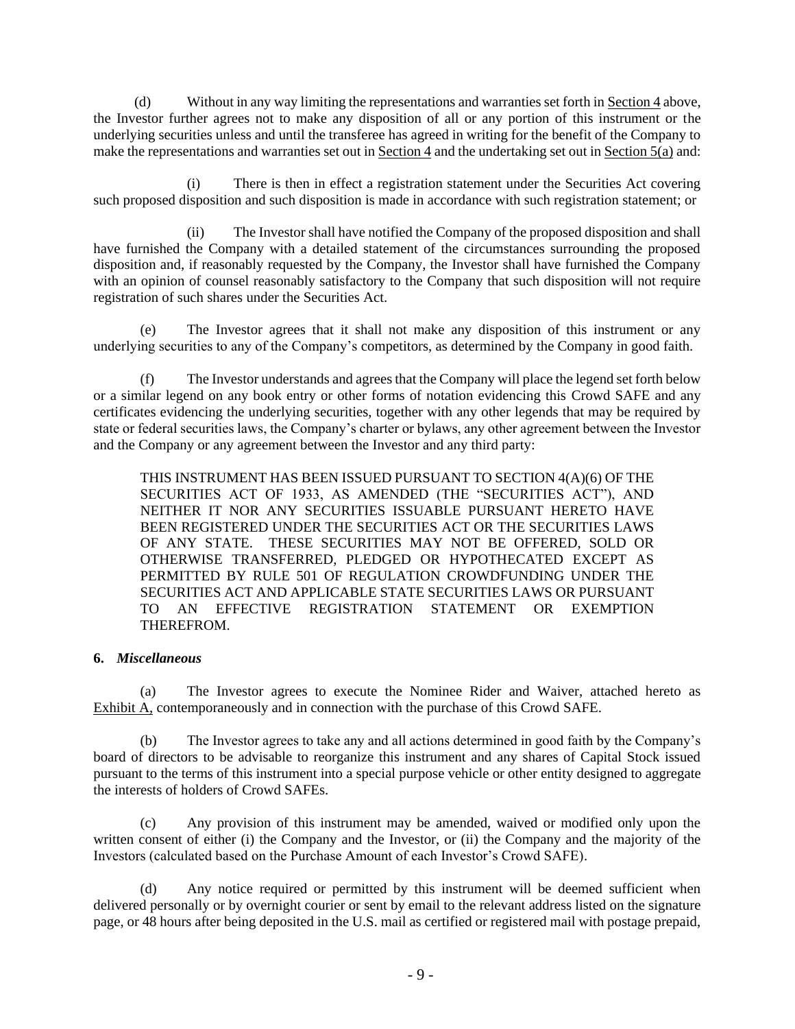(d) Without in any way limiting the representations and warranties set forth in Section 4 above, the Investor further agrees not to make any disposition of all or any portion of this instrument or the underlying securities unless and until the transferee has agreed in writing for the benefit of the Company to make the representations and warranties set out in Section 4 and the undertaking set out in Section  $\overline{5(a)}$  and:

(i) There is then in effect a registration statement under the Securities Act covering such proposed disposition and such disposition is made in accordance with such registration statement; or

(ii) The Investor shall have notified the Company of the proposed disposition and shall have furnished the Company with a detailed statement of the circumstances surrounding the proposed disposition and, if reasonably requested by the Company, the Investor shall have furnished the Company with an opinion of counsel reasonably satisfactory to the Company that such disposition will not require registration of such shares under the Securities Act.

(e) The Investor agrees that it shall not make any disposition of this instrument or any underlying securities to any of the Company's competitors, as determined by the Company in good faith.

(f) The Investor understands and agrees that the Company will place the legend set forth below or a similar legend on any book entry or other forms of notation evidencing this Crowd SAFE and any certificates evidencing the underlying securities, together with any other legends that may be required by state or federal securities laws, the Company's charter or bylaws, any other agreement between the Investor and the Company or any agreement between the Investor and any third party:

THIS INSTRUMENT HAS BEEN ISSUED PURSUANT TO SECTION 4(A)(6) OF THE SECURITIES ACT OF 1933, AS AMENDED (THE "SECURITIES ACT"), AND NEITHER IT NOR ANY SECURITIES ISSUABLE PURSUANT HERETO HAVE BEEN REGISTERED UNDER THE SECURITIES ACT OR THE SECURITIES LAWS OF ANY STATE. THESE SECURITIES MAY NOT BE OFFERED, SOLD OR OTHERWISE TRANSFERRED, PLEDGED OR HYPOTHECATED EXCEPT AS PERMITTED BY RULE 501 OF REGULATION CROWDFUNDING UNDER THE SECURITIES ACT AND APPLICABLE STATE SECURITIES LAWS OR PURSUANT TO AN EFFECTIVE REGISTRATION STATEMENT OR EXEMPTION THEREFROM.

#### **6.** *Miscellaneous*

(a) The Investor agrees to execute the Nominee Rider and Waiver, attached hereto as Exhibit A, contemporaneously and in connection with the purchase of this Crowd SAFE.

(b) The Investor agrees to take any and all actions determined in good faith by the Company's board of directors to be advisable to reorganize this instrument and any shares of Capital Stock issued pursuant to the terms of this instrument into a special purpose vehicle or other entity designed to aggregate the interests of holders of Crowd SAFEs.

(c) Any provision of this instrument may be amended, waived or modified only upon the written consent of either (i) the Company and the Investor, or (ii) the Company and the majority of the Investors (calculated based on the Purchase Amount of each Investor's Crowd SAFE).

(d) Any notice required or permitted by this instrument will be deemed sufficient when delivered personally or by overnight courier or sent by email to the relevant address listed on the signature page, or 48 hours after being deposited in the U.S. mail as certified or registered mail with postage prepaid,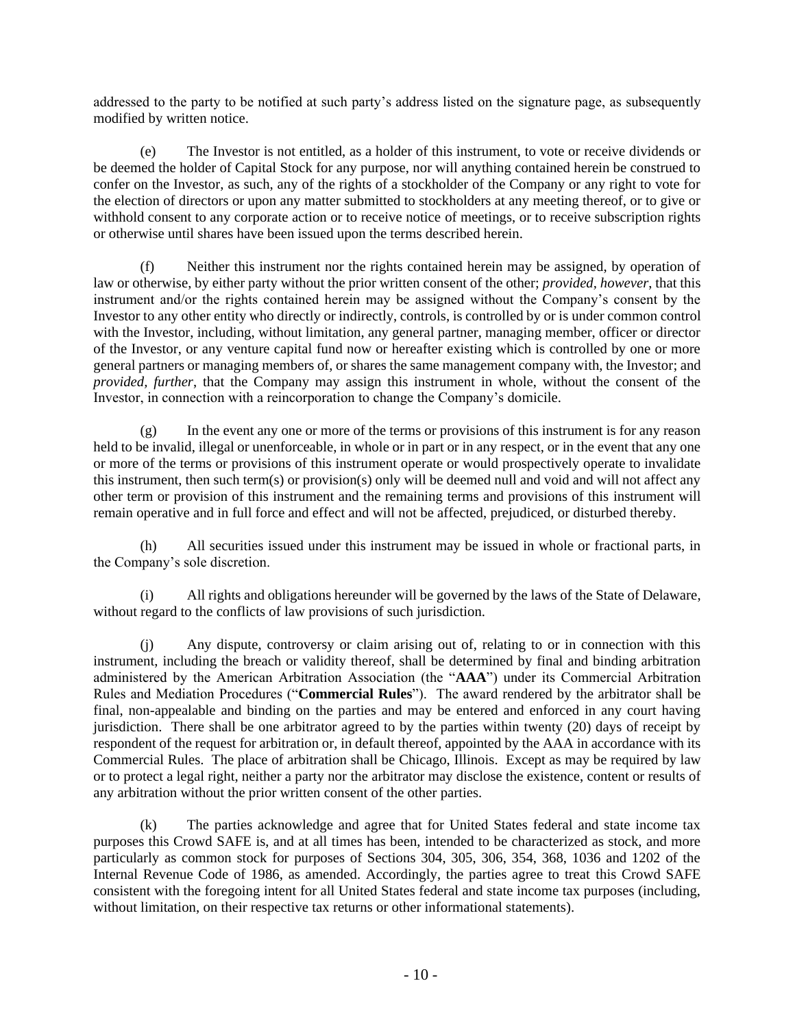addressed to the party to be notified at such party's address listed on the signature page, as subsequently modified by written notice.

(e) The Investor is not entitled, as a holder of this instrument, to vote or receive dividends or be deemed the holder of Capital Stock for any purpose, nor will anything contained herein be construed to confer on the Investor, as such, any of the rights of a stockholder of the Company or any right to vote for the election of directors or upon any matter submitted to stockholders at any meeting thereof, or to give or withhold consent to any corporate action or to receive notice of meetings, or to receive subscription rights or otherwise until shares have been issued upon the terms described herein.

(f) Neither this instrument nor the rights contained herein may be assigned, by operation of law or otherwise, by either party without the prior written consent of the other; *provided, however*, that this instrument and/or the rights contained herein may be assigned without the Company's consent by the Investor to any other entity who directly or indirectly, controls, is controlled by or is under common control with the Investor, including, without limitation, any general partner, managing member, officer or director of the Investor, or any venture capital fund now or hereafter existing which is controlled by one or more general partners or managing members of, or shares the same management company with, the Investor; and *provided, further*, that the Company may assign this instrument in whole, without the consent of the Investor, in connection with a reincorporation to change the Company's domicile.

(g) In the event any one or more of the terms or provisions of this instrument is for any reason held to be invalid, illegal or unenforceable, in whole or in part or in any respect, or in the event that any one or more of the terms or provisions of this instrument operate or would prospectively operate to invalidate this instrument, then such term(s) or provision(s) only will be deemed null and void and will not affect any other term or provision of this instrument and the remaining terms and provisions of this instrument will remain operative and in full force and effect and will not be affected, prejudiced, or disturbed thereby.

(h) All securities issued under this instrument may be issued in whole or fractional parts, in the Company's sole discretion.

(i) All rights and obligations hereunder will be governed by the laws of the State of Delaware, without regard to the conflicts of law provisions of such jurisdiction.

(j) Any dispute, controversy or claim arising out of, relating to or in connection with this instrument, including the breach or validity thereof, shall be determined by final and binding arbitration administered by the American Arbitration Association (the "**AAA**") under its Commercial Arbitration Rules and Mediation Procedures ("**Commercial Rules**"). The award rendered by the arbitrator shall be final, non-appealable and binding on the parties and may be entered and enforced in any court having jurisdiction. There shall be one arbitrator agreed to by the parties within twenty (20) days of receipt by respondent of the request for arbitration or, in default thereof, appointed by the AAA in accordance with its Commercial Rules. The place of arbitration shall be Chicago, Illinois. Except as may be required by law or to protect a legal right, neither a party nor the arbitrator may disclose the existence, content or results of any arbitration without the prior written consent of the other parties.

(k) The parties acknowledge and agree that for United States federal and state income tax purposes this Crowd SAFE is, and at all times has been, intended to be characterized as stock, and more particularly as common stock for purposes of Sections 304, 305, 306, 354, 368, 1036 and 1202 of the Internal Revenue Code of 1986, as amended. Accordingly, the parties agree to treat this Crowd SAFE consistent with the foregoing intent for all United States federal and state income tax purposes (including, without limitation, on their respective tax returns or other informational statements).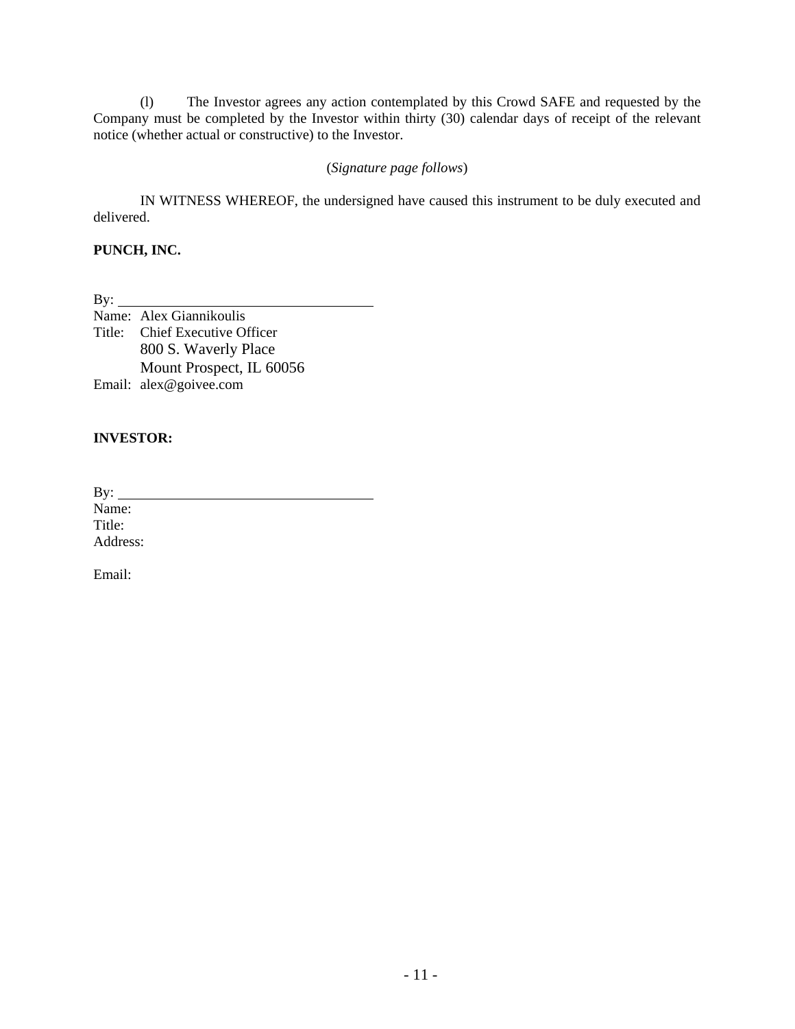(l) The Investor agrees any action contemplated by this Crowd SAFE and requested by the Company must be completed by the Investor within thirty (30) calendar days of receipt of the relevant notice (whether actual or constructive) to the Investor.

### (*Signature page follows*)

IN WITNESS WHEREOF, the undersigned have caused this instrument to be duly executed and delivered.

# **PUNCH, INC.**

By:

Name: Alex Giannikoulis Title: Chief Executive Officer 800 S. Waverly Place Mount Prospect, IL 60056 Email: alex@goivee.com

## **INVESTOR:**

By:  $\overline{\phantom{a}}$ Name:

Title: Address:

Email: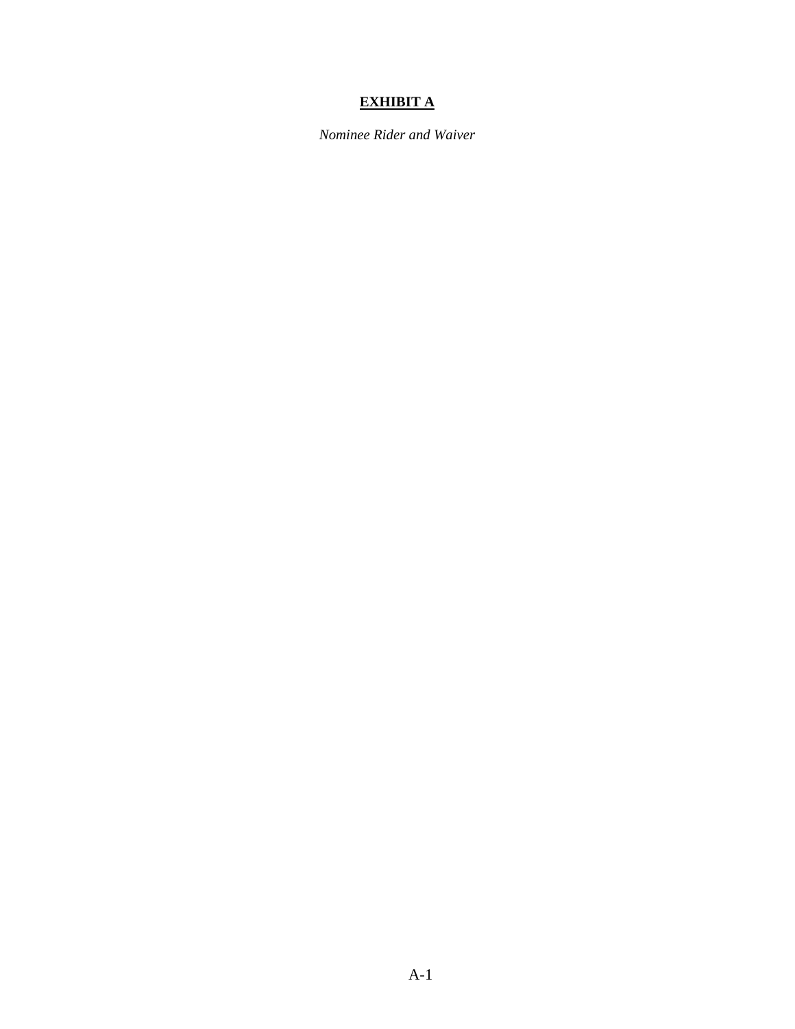# **EXHIBIT A**

*Nominee Rider and Waiver*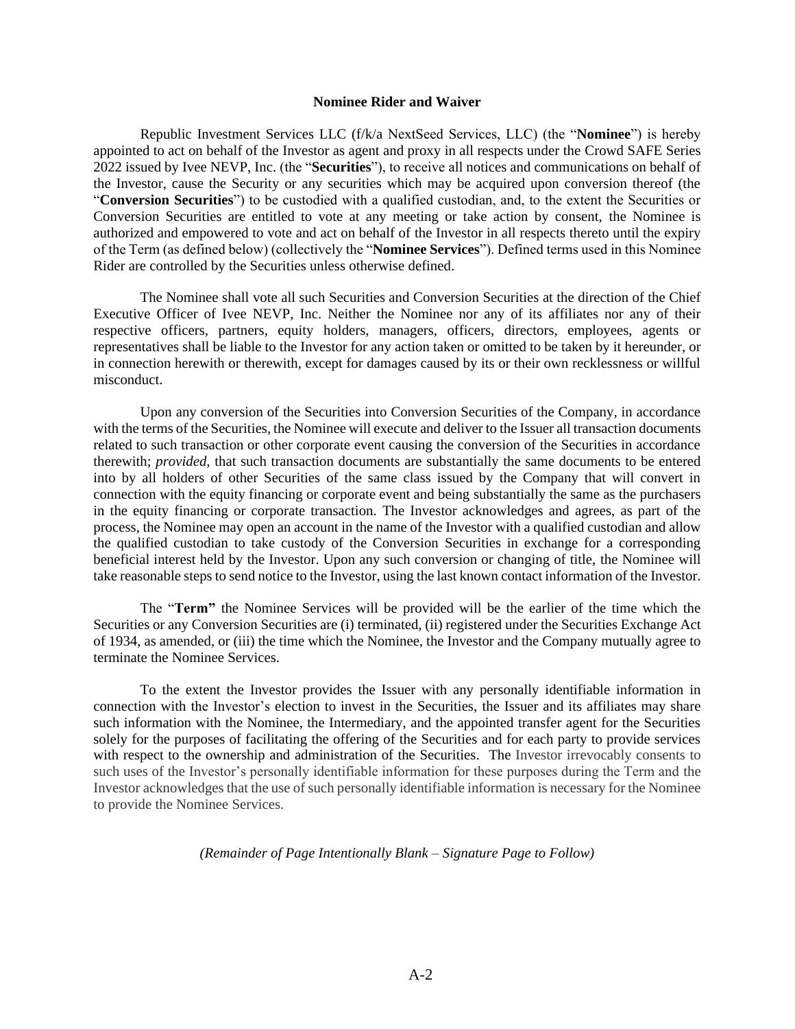#### **Nominee Rider and Waiver**

Republic Investment Services LLC (f/k/a NextSeed Services, LLC) (the "**Nominee**") is hereby appointed to act on behalf of the Investor as agent and proxy in all respects under the Crowd SAFE Series 2022 issued by Ivee NEVP, Inc. (the "**Securities**"), to receive all notices and communications on behalf of the Investor, cause the Security or any securities which may be acquired upon conversion thereof (the "**Conversion Securities**") to be custodied with a qualified custodian, and, to the extent the Securities or Conversion Securities are entitled to vote at any meeting or take action by consent, the Nominee is authorized and empowered to vote and act on behalf of the Investor in all respects thereto until the expiry of the Term (as defined below) (collectively the "**Nominee Services**"). Defined terms used in this Nominee Rider are controlled by the Securities unless otherwise defined.

The Nominee shall vote all such Securities and Conversion Securities at the direction of the Chief Executive Officer of Ivee NEVP, Inc. Neither the Nominee nor any of its affiliates nor any of their respective officers, partners, equity holders, managers, officers, directors, employees, agents or representatives shall be liable to the Investor for any action taken or omitted to be taken by it hereunder, or in connection herewith or therewith, except for damages caused by its or their own recklessness or willful misconduct.

Upon any conversion of the Securities into Conversion Securities of the Company, in accordance with the terms of the Securities, the Nominee will execute and deliver to the Issuer all transaction documents related to such transaction or other corporate event causing the conversion of the Securities in accordance therewith; *provided,* that such transaction documents are substantially the same documents to be entered into by all holders of other Securities of the same class issued by the Company that will convert in connection with the equity financing or corporate event and being substantially the same as the purchasers in the equity financing or corporate transaction. The Investor acknowledges and agrees, as part of the process, the Nominee may open an account in the name of the Investor with a qualified custodian and allow the qualified custodian to take custody of the Conversion Securities in exchange for a corresponding beneficial interest held by the Investor. Upon any such conversion or changing of title, the Nominee will take reasonable steps to send notice to the Investor, using the last known contact information of the Investor.

The "**Term"** the Nominee Services will be provided will be the earlier of the time which the Securities or any Conversion Securities are (i) terminated, (ii) registered under the Securities Exchange Act of 1934, as amended, or (iii) the time which the Nominee, the Investor and the Company mutually agree to terminate the Nominee Services.

To the extent the Investor provides the Issuer with any personally identifiable information in connection with the Investor's election to invest in the Securities, the Issuer and its affiliates may share such information with the Nominee, the Intermediary, and the appointed transfer agent for the Securities solely for the purposes of facilitating the offering of the Securities and for each party to provide services with respect to the ownership and administration of the Securities. The Investor irrevocably consents to such uses of the Investor's personally identifiable information for these purposes during the Term and the Investor acknowledges that the use of such personally identifiable information is necessary for the Nominee to provide the Nominee Services.

#### *(Remainder of Page Intentionally Blank – Signature Page to Follow)*